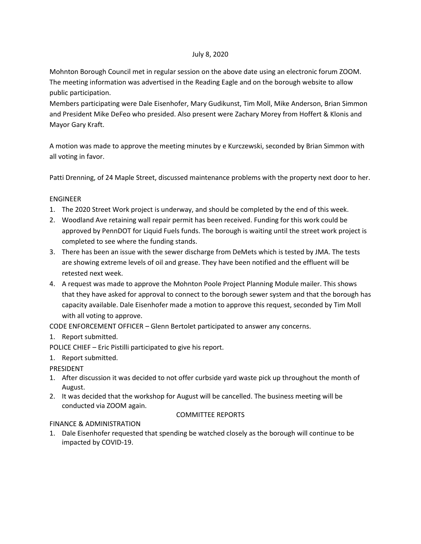# July 8, 2020

Mohnton Borough Council met in regular session on the above date using an electronic forum ZOOM. The meeting information was advertised in the Reading Eagle and on the borough website to allow public participation.

Members participating were Dale Eisenhofer, Mary Gudikunst, Tim Moll, Mike Anderson, Brian Simmon and President Mike DeFeo who presided. Also present were Zachary Morey from Hoffert & Klonis and Mayor Gary Kraft.

A motion was made to approve the meeting minutes by e Kurczewski, seconded by Brian Simmon with all voting in favor.

Patti Drenning, of 24 Maple Street, discussed maintenance problems with the property next door to her.

# ENGINEER

- 1. The 2020 Street Work project is underway, and should be completed by the end of this week.
- 2. Woodland Ave retaining wall repair permit has been received. Funding for this work could be approved by PennDOT for Liquid Fuels funds. The borough is waiting until the street work project is completed to see where the funding stands.
- 3. There has been an issue with the sewer discharge from DeMets which is tested by JMA. The tests are showing extreme levels of oil and grease. They have been notified and the effluent will be retested next week.
- 4. A request was made to approve the Mohnton Poole Project Planning Module mailer. This shows that they have asked for approval to connect to the borough sewer system and that the borough has capacity available. Dale Eisenhofer made a motion to approve this request, seconded by Tim Moll with all voting to approve.

CODE ENFORCEMENT OFFICER – Glenn Bertolet participated to answer any concerns.

# 1. Report submitted.

POLICE CHIEF – Eric Pistilli participated to give his report.

1. Report submitted.

PRESIDENT

- 1. After discussion it was decided to not offer curbside yard waste pick up throughout the month of August.
- 2. It was decided that the workshop for August will be cancelled. The business meeting will be conducted via ZOOM again.

## COMMITTEE REPORTS

# FINANCE & ADMINISTRATION

1. Dale Eisenhofer requested that spending be watched closely as the borough will continue to be impacted by COVID-19.